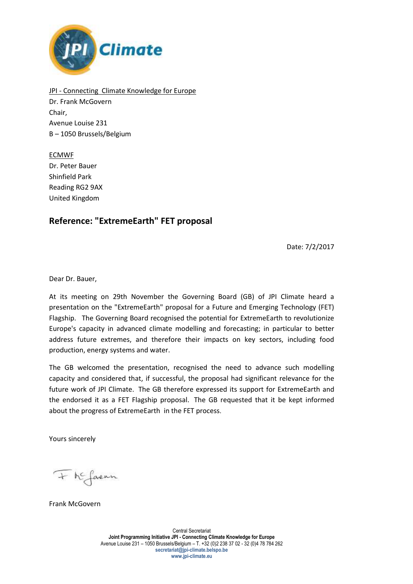

JPI - Connecting Climate Knowledge for Europe Dr. Frank McGovern Chair, Avenue Louise 231 B – 1050 Brussels/Belgium

ECMWF Dr. Peter Bauer Shinfield Park Reading RG2 9AX United Kingdom

## **Reference: "ExtremeEarth" FET proposal**

Date: 7/2/2017

Dear Dr. Bauer,

At its meeting on 29th November the Governing Board (GB) of JPI Climate heard a presentation on the "ExtremeEarth" proposal for a Future and Emerging Technology (FET) Flagship. The Governing Board recognised the potential for ExtremeEarth to revolutionize Europe's capacity in advanced climate modelling and forecasting; in particular to better address future extremes, and therefore their impacts on key sectors, including food production, energy systems and water.

The GB welcomed the presentation, recognised the need to advance such modelling capacity and considered that, if successful, the proposal had significant relevance for the future work of JPI Climate. The GB therefore expressed its support for ExtremeEarth and the endorsed it as a FET Flagship proposal. The GB requested that it be kept informed about the progress of ExtremeEarth in the FET process.

Yours sincerely

+ he favour

Frank McGovern

Central Secretariat **Joint Programming Initiative JPI - Connecting Climate Knowledge for Europe** Avenue Louise 231 – 1050 Brussels/Belgium – T. +32 (0)2 238 37 02 - 32 (0)4 78 784 262 **secretariat@jpi-climate.belspo.be www.jpi-climate.eu**